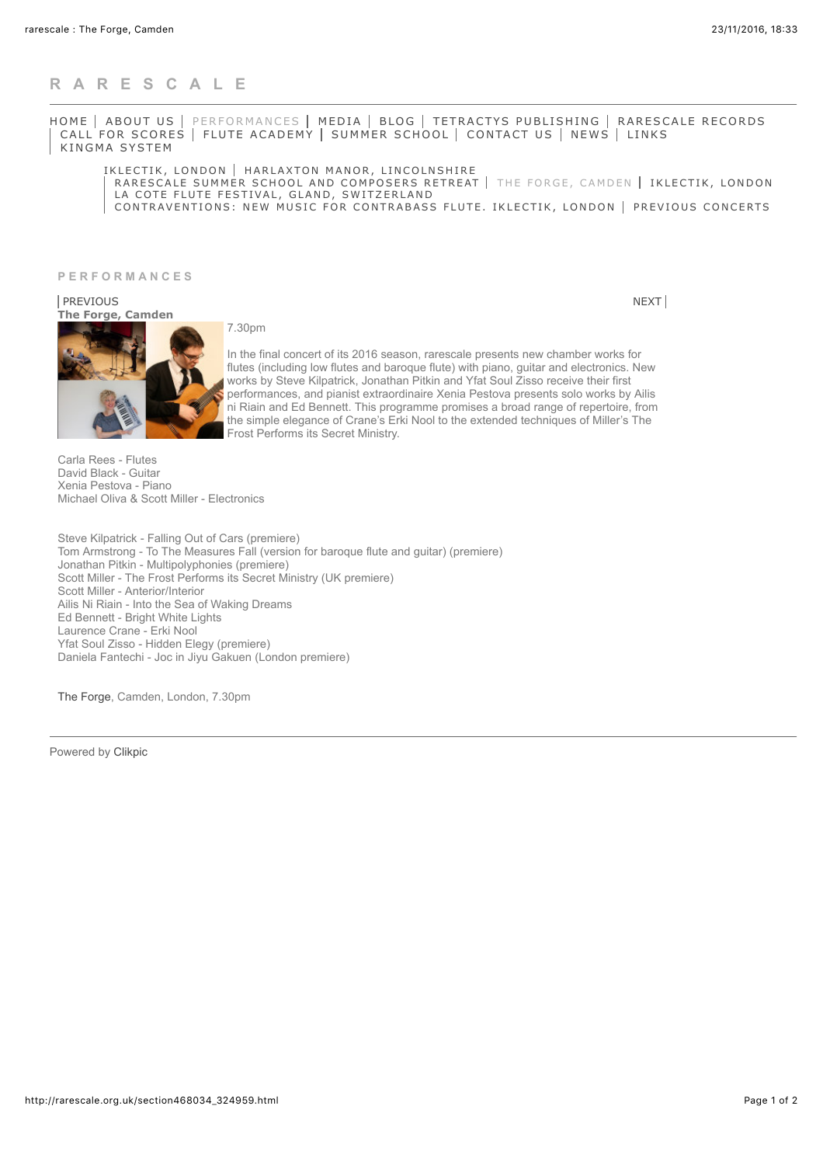## **[RARESCALE](http://rarescale.org.uk/)**

[HOME](http://rarescale.org.uk/) | [ABOUT US](http://rarescale.org.uk/section467398.html) | [PERFORMANCES](http://rarescale.org.uk/section468034.html) | [MEDIA](http://rarescale.org.uk/section514318.html) | [BLOG](http://rarescale.org.uk/section745285.html) | [TETRACTYS PUBLISHING](http://rarescale.org.uk/section468032.html) | [RARESCALE RECORDS](http://rarescale.org.uk/section641373.html) [CALL FOR SCORES](http://rarescale.org.uk/section468038.html) | [FLUTE ACADEMY](http://rarescale.org.uk/section468037.html) | [SUMMER SCHOOL](http://rarescale.org.uk/section641382.html) | [CONTACT US](http://rarescale.org.uk/contactform.html) | [NEWS](http://rarescale.org.uk/section641384.html) | [LINKS](http://rarescale.org.uk/links.html) [KINGMA SYSTEM](http://rarescale.org.uk/section683023.html)

[IKLECTIK, LONDON](http://rarescale.org.uk/section468034_302683.html) | [HARLAXTON MANOR, LINCOLNSHIRE](http://rarescale.org.uk/section468034_337056.html) [RARESCALE SUMMER SCHOOL AND COMPOSERS RETREAT](http://rarescale.org.uk/section468034_310908.html) | [THE FORGE, CAMDEN](http://rarescale.org.uk/section468034_324959.html) | [IKLECTIK, LONDON](http://rarescale.org.uk/section468034_337063.html) [LA COTE FLUTE FESTIVAL, GLAND, SWITZERLAND](http://rarescale.org.uk/section468034_338211.html) [CONTRAVENTIONS: NEW MUSIC FOR CONTRABASS FLUTE. IKLECTIK, LONDON](http://rarescale.org.uk/section468034_338210.html) [PREVIOUS CONCERTS](http://rarescale.org.uk/section468034_166091.html)

**PERFORMANCES**

**The Forge, Camden** [PREVIOUS](http://rarescale.org.uk/section468034_310908.html) [NEXT](http://rarescale.org.uk/section468034_337063.html)

7.30pm



In the final concert of its 2016 season, rarescale presents new chamber works for flutes (including low flutes and baroque flute) with piano, guitar and electronics. New works by Steve Kilpatrick, Jonathan Pitkin and Yfat Soul Zisso receive their first performances, and pianist extraordinaire Xenia Pestova presents solo works by Ailis ni Riain and Ed Bennett. This programme promises a broad range of repertoire, from the simple elegance of Crane's Erki Nool to the extended techniques of Miller's The Frost Performs its Secret Ministry.

Carla Rees - Flutes David Black - Guitar Xenia Pestova - Piano Michael Oliva & Scott Miller - Electronics

Steve Kilpatrick - Falling Out of Cars (premiere) Tom Armstrong - To The Measures Fall (version for baroque flute and guitar) (premiere) Jonathan Pitkin - Multipolyphonies (premiere) Scott Miller - The Frost Performs its Secret Ministry (UK premiere) Scott Miller - Anterior/Interior Ailis Ni Riain - Into the Sea of Waking Dreams Ed Bennett - Bright White Lights Laurence Crane - Erki Nool Yfat Soul Zisso - Hidden Elegy (premiere) Daniela Fantechi - Joc in Jiyu Gakuen (London premiere)

[The Forge](https://uk.patronbase.com/_Forge/Productions/SN/Performances), Camden, London, 7.30pm

Powered by [Clikpic](http://www.clikpic.com/)